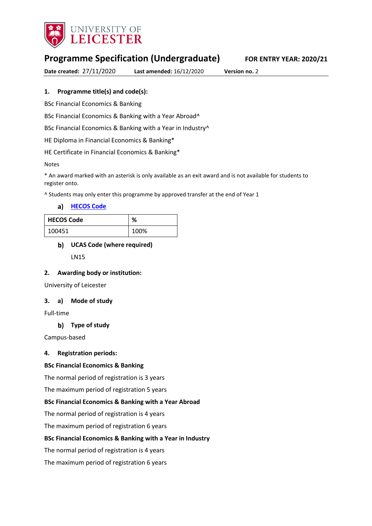

# **Programme Specification (Undergraduate) FOR ENTRY YEAR: 2020/21**

**Date created:** 27/11/2020 **Last amended:** 16/12/2020 **Version no.** 2

## **1. Programme title(s) and code(s):**

BSc Financial Economics & Banking

BSc Financial Economics & Banking with a Year Abroad^

BSc Financial Economics & Banking with a Year in Industry^

HE Diploma in Financial Economics & Banking\*

HE Certificate in Financial Economics & Banking\*

### Notes

\* An award marked with an asterisk is only available as an exit award and is not available for students to register onto.

^ Students may only enter this programme by approved transfer at the end of Year 1

**[HECOS Code](https://www.hesa.ac.uk/innovation/hecos)**

| <b>HECOS Code</b> | %    |
|-------------------|------|
| 100451            | 100% |

## **UCAS Code (where required)**

LN15

### **2. Awarding body or institution:**

University of Leicester

### **3. a) Mode of study**

Full-time

## **Type of study**

Campus-based

### **4. Registration periods:**

### **BSc Financial Economics & Banking**

The normal period of registration is 3 years

The maximum period of registration 5 years

### **BSc Financial Economics & Banking with a Year Abroad**

The normal period of registration is 4 years

The maximum period of registration 6 years

### **BSc Financial Economics & Banking with a Year in Industry**

The normal period of registration is 4 years

The maximum period of registration 6 years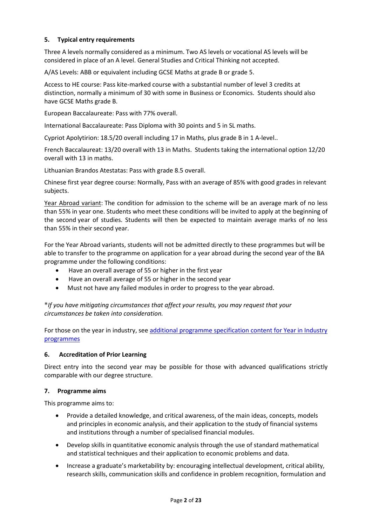## **5. Typical entry requirements**

Three A levels normally considered as a minimum. Two AS levels or vocational AS levels will be considered in place of an A level. General Studies and Critical Thinking not accepted.

A/AS Levels: ABB or equivalent including GCSE Maths at grade B or grade 5.

Access to HE course: Pass kite-marked course with a substantial number of level 3 credits at distinction, normally a minimum of 30 with some in Business or Economics. Students should also have GCSE Maths grade B.

European Baccalaureate: Pass with 77% overall.

International Baccalaureate: Pass Diploma with 30 points and 5 in SL maths.

Cypriot Apolytirion: 18.5/20 overall including 17 in Maths, plus grade B in 1 A-level..

French Baccalaureat: 13/20 overall with 13 in Maths. Students taking the international option 12/20 overall with 13 in maths.

Lithuanian Brandos Atestatas: Pass with grade 8.5 overall.

Chinese first year degree course: Normally, Pass with an average of 85% with good grades in relevant subjects.

Year Abroad variant: The condition for admission to the scheme will be an average mark of no less than 55% in year one. Students who meet these conditions will be invited to apply at the beginning of the second year of studies. Students will then be expected to maintain average marks of no less than 55% in their second year.

For the Year Abroad variants, students will not be admitted directly to these programmes but will be able to transfer to the programme on application for a year abroad during the second year of the BA programme under the following conditions:

- Have an overall average of 55 or higher in the first year
- Have an overall average of 55 or higher in the second year
- Must not have any failed modules in order to progress to the year abroad.

**\****If you have mitigating circumstances that affect your results, you may request that your circumstances be taken into consideration.*

For those on the year in industry, see additional programme specification content for Year in Industry [programmes](https://www2.le.ac.uk/offices/sas2/courses/documentation/undergraduate-programme-specification-content-for-year-in-industry-programme-variants)

### **6. Accreditation of Prior Learning**

Direct entry into the second year may be possible for those with advanced qualifications strictly comparable with our degree structure.

### **7. Programme aims**

This programme aims to:

- Provide a detailed knowledge, and critical awareness, of the main ideas, concepts, models and principles in economic analysis, and their application to the study of financial systems and institutions through a number of specialised financial modules.
- Develop skills in quantitative economic analysis through the use of standard mathematical and statistical techniques and their application to economic problems and data.
- Increase a graduate's marketability by: encouraging intellectual development, critical ability, research skills, communication skills and confidence in problem recognition, formulation and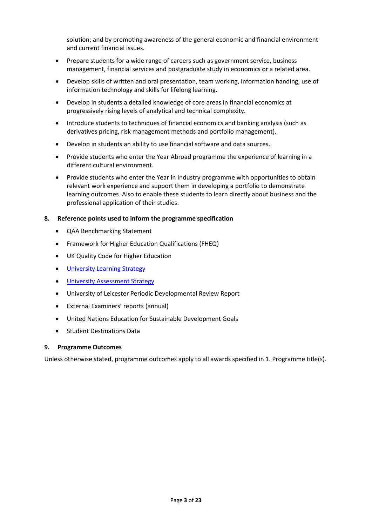solution; and by promoting awareness of the general economic and financial environment and current financial issues.

- Prepare students for a wide range of careers such as government service, business management, financial services and postgraduate study in economics or a related area.
- Develop skills of written and oral presentation, team working, information handing, use of information technology and skills for lifelong learning.
- Develop in students a detailed knowledge of core areas in financial economics at progressively rising levels of analytical and technical complexity.
- Introduce students to techniques of financial economics and banking analysis (such as derivatives pricing, risk management methods and portfolio management).
- Develop in students an ability to use financial software and data sources.
- Provide students who enter the Year Abroad programme the experience of learning in a different cultural environment.
- Provide students who enter the Year in Industry programme with opportunities to obtain relevant work experience and support them in developing a portfolio to demonstrate learning outcomes. Also to enable these students to learn directly about business and the professional application of their studies.

### **8. Reference points used to inform the programme specification**

- QAA Benchmarking Statement
- Framework for Higher Education Qualifications (FHEQ)
- UK Quality Code for Higher Education
- **University Learnin[g Strategy](https://www2.le.ac.uk/offices/sas2/quality/learnteach)**
- **.** [University Assessment Strategy](https://www2.le.ac.uk/offices/sas2/quality/learnteach)
- University of Leicester Periodic Developmental Review Report
- External Examiners' reports (annual)
- United Nations Education for Sustainable Development Goals
- Student Destinations Data

### **9. Programme Outcomes**

Unless otherwise stated, programme outcomes apply to all awards specified in 1. Programme title(s).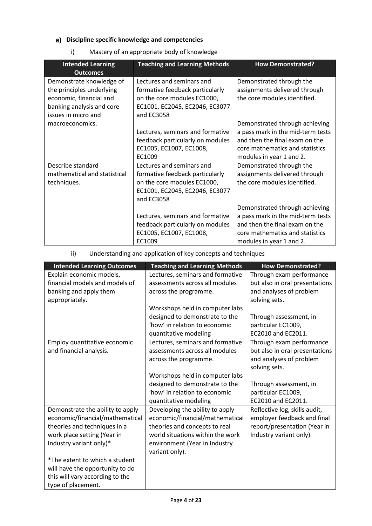# **Discipline specific knowledge and competencies**

i) Mastery of an appropriate body of knowledge

| <b>Intended Learning</b><br><b>Outcomes</b>                                                                                          | <b>Teaching and Learning Methods</b>                                                                                                        | <b>How Demonstrated?</b>                                                                                                                                             |
|--------------------------------------------------------------------------------------------------------------------------------------|---------------------------------------------------------------------------------------------------------------------------------------------|----------------------------------------------------------------------------------------------------------------------------------------------------------------------|
| Demonstrate knowledge of<br>the principles underlying<br>economic, financial and<br>banking analysis and core<br>issues in micro and | Lectures and seminars and<br>formative feedback particularly<br>on the core modules EC1000,<br>EC1001, EC2045, EC2046, EC3077<br>and EC3058 | Demonstrated through the<br>assignments delivered through<br>the core modules identified.                                                                            |
| macroeconomics.                                                                                                                      | Lectures, seminars and formative<br>feedback particularly on modules<br>EC1005, EC1007, EC1008,<br>EC1009                                   | Demonstrated through achieving<br>a pass mark in the mid-term tests<br>and then the final exam on the<br>core mathematics and statistics<br>modules in year 1 and 2. |
| Describe standard<br>mathematical and statistical<br>techniques.                                                                     | Lectures and seminars and<br>formative feedback particularly<br>on the core modules EC1000,<br>EC1001, EC2045, EC2046, EC3077<br>and EC3058 | Demonstrated through the<br>assignments delivered through<br>the core modules identified.                                                                            |
|                                                                                                                                      | Lectures, seminars and formative<br>feedback particularly on modules<br>EC1005, EC1007, EC1008,<br>EC1009                                   | Demonstrated through achieving<br>a pass mark in the mid-term tests<br>and then the final exam on the<br>core mathematics and statistics<br>modules in year 1 and 2. |

# ii) Understanding and application of key concepts and techniques

| <b>Intended Learning Outcomes</b> | <b>Teaching and Learning Methods</b> | <b>How Demonstrated?</b>       |
|-----------------------------------|--------------------------------------|--------------------------------|
| Explain economic models,          | Lectures, seminars and formative     | Through exam performance       |
| financial models and models of    | assessments across all modules       | but also in oral presentations |
| banking and apply them            | across the programme.                | and analyses of problem        |
| appropriately.                    |                                      | solving sets.                  |
|                                   | Workshops held in computer labs      |                                |
|                                   | designed to demonstrate to the       | Through assessment, in         |
|                                   | 'how' in relation to economic        | particular EC1009,             |
|                                   | quantitative modeling                | EC2010 and EC2011.             |
| Employ quantitative economic      | Lectures, seminars and formative     | Through exam performance       |
| and financial analysis.           | assessments across all modules       | but also in oral presentations |
|                                   | across the programme.                | and analyses of problem        |
|                                   |                                      | solving sets.                  |
|                                   | Workshops held in computer labs      |                                |
|                                   | designed to demonstrate to the       | Through assessment, in         |
|                                   | 'how' in relation to economic        |                                |
|                                   |                                      | particular EC1009,             |
|                                   | quantitative modeling                | EC2010 and EC2011.             |
| Demonstrate the ability to apply  | Developing the ability to apply      | Reflective log, skills audit,  |
| economic/financial/mathematical   | economic/financial/mathematical      | employer feedback and final    |
| theories and techniques in a      | theories and concepts to real        | report/presentation (Year in   |
| work place setting (Year in       | world situations within the work     | Industry variant only).        |
| Industry variant only)*           | environment (Year in Industry        |                                |
|                                   | variant only).                       |                                |
| *The extent to which a student    |                                      |                                |
| will have the opportunity to do   |                                      |                                |
| this will vary according to the   |                                      |                                |
| type of placement.                |                                      |                                |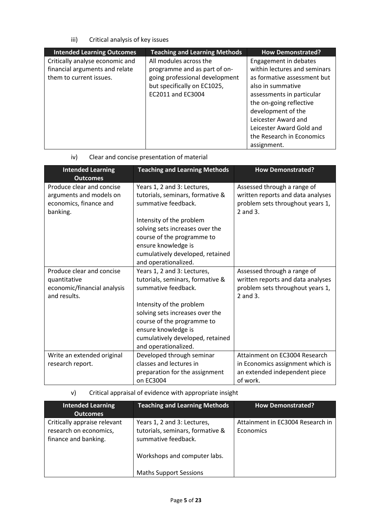iii) Critical analysis of key issues

| <b>Intended Learning Outcomes</b>                                                            | <b>Teaching and Learning Methods</b>                                                                                                         | <b>How Demonstrated?</b>                                                                                                                                          |
|----------------------------------------------------------------------------------------------|----------------------------------------------------------------------------------------------------------------------------------------------|-------------------------------------------------------------------------------------------------------------------------------------------------------------------|
| Critically analyse economic and<br>financial arguments and relate<br>them to current issues. | All modules across the<br>programme and as part of on-<br>going professional development<br>but specifically on EC1025,<br>EC2011 and EC3004 | Engagement in debates<br>within lectures and seminars<br>as formative assessment but<br>also in summative<br>assessments in particular<br>the on-going reflective |
|                                                                                              |                                                                                                                                              | development of the<br>Leicester Award and<br>Leicester Award Gold and<br>the Research in Economics<br>assignment.                                                 |

| iv) |  | Clear and concise presentation of material |  |
|-----|--|--------------------------------------------|--|
|     |  |                                            |  |

| <b>Intended Learning</b><br><b>Outcomes</b>                                                | <b>Teaching and Learning Methods</b>                                                                                                                                                                                                                                   | <b>How Demonstrated?</b>                                                                                              |
|--------------------------------------------------------------------------------------------|------------------------------------------------------------------------------------------------------------------------------------------------------------------------------------------------------------------------------------------------------------------------|-----------------------------------------------------------------------------------------------------------------------|
| Produce clear and concise<br>arguments and models on<br>economics, finance and<br>banking. | Years 1, 2 and 3: Lectures,<br>tutorials, seminars, formative &<br>summative feedback.<br>Intensity of the problem<br>solving sets increases over the<br>course of the programme to<br>ensure knowledge is                                                             | Assessed through a range of<br>written reports and data analyses<br>problem sets throughout years 1,<br>2 and 3.      |
|                                                                                            | cumulatively developed, retained<br>and operationalized.                                                                                                                                                                                                               |                                                                                                                       |
| Produce clear and concise<br>quantitative<br>economic/financial analysis<br>and results.   | Years 1, 2 and 3: Lectures,<br>tutorials, seminars, formative &<br>summative feedback.<br>Intensity of the problem<br>solving sets increases over the<br>course of the programme to<br>ensure knowledge is<br>cumulatively developed, retained<br>and operationalized. | Assessed through a range of<br>written reports and data analyses<br>problem sets throughout years 1,<br>$2$ and $3$ . |
| Write an extended original                                                                 | Developed through seminar                                                                                                                                                                                                                                              | Attainment on EC3004 Research                                                                                         |
| research report.                                                                           | classes and lectures in<br>preparation for the assignment<br>on EC3004                                                                                                                                                                                                 | in Economics assignment which is<br>an extended independent piece<br>of work.                                         |

v) Critical appraisal of evidence with appropriate insight

| <b>Intended Learning</b>                                                       | <b>Teaching and Learning Methods</b>                                                                                   | <b>How Demonstrated?</b>                      |
|--------------------------------------------------------------------------------|------------------------------------------------------------------------------------------------------------------------|-----------------------------------------------|
| <b>Outcomes</b>                                                                |                                                                                                                        |                                               |
| Critically appraise relevant<br>research on economics,<br>finance and banking. | Years 1, 2 and 3: Lectures,<br>tutorials, seminars, formative &<br>summative feedback.<br>Workshops and computer labs. | Attainment in EC3004 Research in<br>Economics |
|                                                                                | <b>Maths Support Sessions</b>                                                                                          |                                               |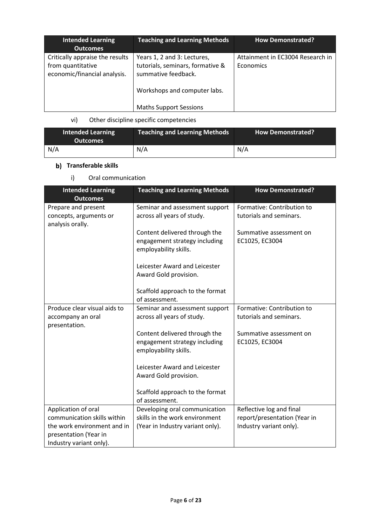| <b>Intended Learning</b><br><b>Outcomes</b>                                          | <b>Teaching and Learning Methods</b>                                                                                   | <b>How Demonstrated?</b>                      |
|--------------------------------------------------------------------------------------|------------------------------------------------------------------------------------------------------------------------|-----------------------------------------------|
| Critically appraise the results<br>from quantitative<br>economic/financial analysis. | Years 1, 2 and 3: Lectures,<br>tutorials, seminars, formative &<br>summative feedback.<br>Workshops and computer labs. | Attainment in EC3004 Research in<br>Economics |
|                                                                                      | <b>Maths Support Sessions</b>                                                                                          |                                               |

# vi) Other discipline specific competencies

| <b>Intended Learning</b><br><b>Outcomes</b> | <b>Teaching and Learning Methods</b> | <b>How Demonstrated?</b> |
|---------------------------------------------|--------------------------------------|--------------------------|
| N/A                                         | N/A                                  | N/A                      |

# **b)** Transferable skills

i) Oral communication

| <b>Intended Learning</b><br><b>Outcomes</b>                                     | <b>Teaching and Learning Methods</b>                                                    | <b>How Demonstrated?</b>                              |
|---------------------------------------------------------------------------------|-----------------------------------------------------------------------------------------|-------------------------------------------------------|
| Prepare and present<br>concepts, arguments or<br>analysis orally.               | Seminar and assessment support<br>across all years of study.                            | Formative: Contribution to<br>tutorials and seminars. |
|                                                                                 | Content delivered through the<br>engagement strategy including<br>employability skills. | Summative assessment on<br>EC1025, EC3004             |
|                                                                                 | Leicester Award and Leicester<br>Award Gold provision.                                  |                                                       |
|                                                                                 | Scaffold approach to the format<br>of assessment.                                       |                                                       |
| Produce clear visual aids to<br>accompany an oral<br>presentation.              | Seminar and assessment support<br>across all years of study.                            | Formative: Contribution to<br>tutorials and seminars. |
|                                                                                 | Content delivered through the<br>engagement strategy including<br>employability skills. | Summative assessment on<br>EC1025, EC3004             |
|                                                                                 | Leicester Award and Leicester<br>Award Gold provision.                                  |                                                       |
|                                                                                 | Scaffold approach to the format<br>of assessment.                                       |                                                       |
| Application of oral                                                             | Developing oral communication                                                           | Reflective log and final                              |
| communication skills within                                                     | skills in the work environment                                                          | report/presentation (Year in                          |
| the work environment and in<br>presentation (Year in<br>Industry variant only). | (Year in Industry variant only).                                                        | Industry variant only).                               |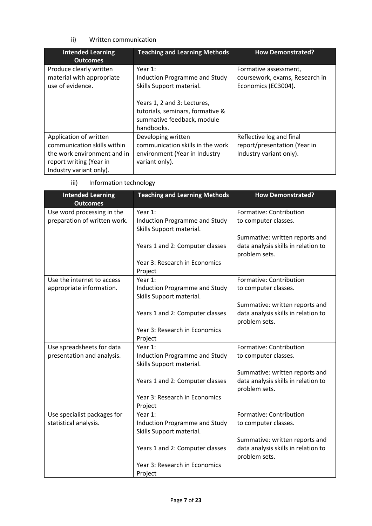## ii) Written communication

| <b>Intended Learning</b><br><b>Outcomes</b>                                                                                                | <b>Teaching and Learning Methods</b>                                                                                                                                                   | <b>How Demonstrated?</b>                                                            |
|--------------------------------------------------------------------------------------------------------------------------------------------|----------------------------------------------------------------------------------------------------------------------------------------------------------------------------------------|-------------------------------------------------------------------------------------|
| Produce clearly written<br>material with appropriate<br>use of evidence.                                                                   | Year $1$ :<br>Induction Programme and Study<br>Skills Support material.<br>Years 1, 2 and 3: Lectures,<br>tutorials, seminars, formative &<br>summative feedback, module<br>handbooks. | Formative assessment,<br>coursework, exams, Research in<br>Economics (EC3004).      |
| Application of written<br>communication skills within<br>the work environment and in<br>report writing (Year in<br>Industry variant only). | Developing written<br>communication skills in the work<br>environment (Year in Industry<br>variant only).                                                                              | Reflective log and final<br>report/presentation (Year in<br>Industry variant only). |

iii) Information technology

| <b>Intended Learning</b><br><b>Outcomes</b> | <b>Teaching and Learning Methods</b> | <b>How Demonstrated?</b>            |
|---------------------------------------------|--------------------------------------|-------------------------------------|
| Use word processing in the                  | Year 1:                              | Formative: Contribution             |
| preparation of written work.                | Induction Programme and Study        | to computer classes.                |
|                                             | Skills Support material.             |                                     |
|                                             |                                      | Summative: written reports and      |
|                                             | Years 1 and 2: Computer classes      | data analysis skills in relation to |
|                                             |                                      | problem sets.                       |
|                                             | Year 3: Research in Economics        |                                     |
|                                             | Project                              |                                     |
| Use the internet to access                  | Year 1:                              | Formative: Contribution             |
| appropriate information.                    | Induction Programme and Study        | to computer classes.                |
|                                             | Skills Support material.             |                                     |
|                                             |                                      | Summative: written reports and      |
|                                             | Years 1 and 2: Computer classes      | data analysis skills in relation to |
|                                             |                                      | problem sets.                       |
|                                             | Year 3: Research in Economics        |                                     |
|                                             | Project                              |                                     |
| Use spreadsheets for data                   | Year 1:                              | Formative: Contribution             |
| presentation and analysis.                  | <b>Induction Programme and Study</b> | to computer classes.                |
|                                             | Skills Support material.             |                                     |
|                                             |                                      | Summative: written reports and      |
|                                             | Years 1 and 2: Computer classes      | data analysis skills in relation to |
|                                             | Year 3: Research in Economics        | problem sets.                       |
|                                             |                                      |                                     |
| Use specialist packages for                 | Project<br>Year 1:                   | Formative: Contribution             |
| statistical analysis.                       | Induction Programme and Study        | to computer classes.                |
|                                             | Skills Support material.             |                                     |
|                                             |                                      | Summative: written reports and      |
|                                             | Years 1 and 2: Computer classes      | data analysis skills in relation to |
|                                             |                                      | problem sets.                       |
|                                             | Year 3: Research in Economics        |                                     |
|                                             | Project                              |                                     |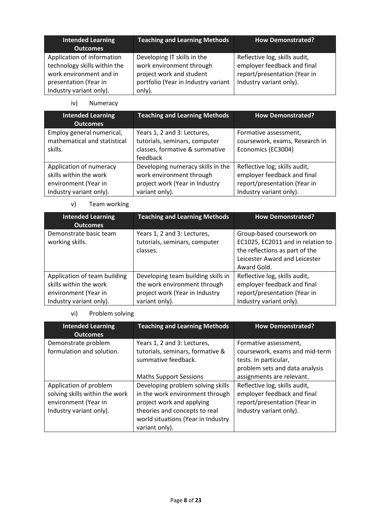| <b>Intended Learning</b><br><b>Outcomes</b>                                                                                               | <b>Teaching and Learning Methods</b>                                                                                                 | <b>How Demonstrated?</b>                                                                                                |
|-------------------------------------------------------------------------------------------------------------------------------------------|--------------------------------------------------------------------------------------------------------------------------------------|-------------------------------------------------------------------------------------------------------------------------|
| Application of information<br>technology skills within the<br>work environment and in<br>presentation (Year in<br>Industry variant only). | Developing IT skills in the<br>work environment through<br>project work and student<br>portfolio (Year in Industry variant<br>only). | Reflective log, skills audit,<br>employer feedback and final<br>report/presentation (Year in<br>Industry variant only). |

iv) Numeracy

| <b>Intended Learning</b><br><b>Outcomes</b>                                                          | <b>Teaching and Learning Methods</b>                                                                              | <b>How Demonstrated?</b>                                                                                                |
|------------------------------------------------------------------------------------------------------|-------------------------------------------------------------------------------------------------------------------|-------------------------------------------------------------------------------------------------------------------------|
| Employ general numerical,<br>mathematical and statistical<br>skills.                                 | Years 1, 2 and 3: Lectures,<br>tutorials, seminars, computer<br>classes, formative & summative<br>feedback        | Formative assessment,<br>coursework, exams, Research in<br>Economics (EC3004)                                           |
| Application of numeracy<br>skills within the work<br>environment (Year in<br>Industry variant only). | Developing numeracy skills in the<br>work environment through<br>project work (Year in Industry<br>variant only). | Reflective log, skills audit,<br>employer feedback and final<br>report/presentation (Year in<br>Industry variant only). |

v) Team working

| <b>Intended Learning</b><br><b>Outcomes</b>                                                               | <b>Teaching and Learning Methods</b>                                                                                   | <b>How Demonstrated?</b>                                                                                                                         |
|-----------------------------------------------------------------------------------------------------------|------------------------------------------------------------------------------------------------------------------------|--------------------------------------------------------------------------------------------------------------------------------------------------|
| Demonstrate basic team<br>working skills.                                                                 | Years 1, 2 and 3: Lectures,<br>tutorials, seminars, computer<br>classes.                                               | Group-based coursework on<br>EC1025, EC2011 and in relation to<br>the reflections as part of the<br>Leicester Award and Leicester<br>Award Gold. |
| Application of team building<br>skills within the work<br>environment (Year in<br>Industry variant only). | Developing team building skills in<br>the work environment through<br>project work (Year in Industry<br>variant only). | Reflective log, skills audit,<br>employer feedback and final<br>report/presentation (Year in<br>Industry variant only).                          |

# vi) Problem solving

| <b>Intended Learning</b><br><b>Outcomes</b>                                                                 | <b>Teaching and Learning Methods</b>                                                                                                                                                       | <b>How Demonstrated?</b>                                                                                                |
|-------------------------------------------------------------------------------------------------------------|--------------------------------------------------------------------------------------------------------------------------------------------------------------------------------------------|-------------------------------------------------------------------------------------------------------------------------|
| Demonstrate problem<br>formulation and solution.                                                            | Years 1, 2 and 3: Lectures,<br>tutorials, seminars, formative &<br>summative feedback.                                                                                                     | Formative assessment,<br>coursework, exams and mid-term<br>tests. In particular,<br>problem sets and data analysis      |
|                                                                                                             | <b>Maths Support Sessions</b>                                                                                                                                                              | assignments are relevant.                                                                                               |
| Application of problem<br>solving skills within the work<br>environment (Year in<br>Industry variant only). | Developing problem solving skills<br>in the work environment through<br>project work and applying<br>theories and concepts to real<br>world situations (Year in Industry<br>variant only). | Reflective log, skills audit,<br>employer feedback and final<br>report/presentation (Year in<br>Industry variant only). |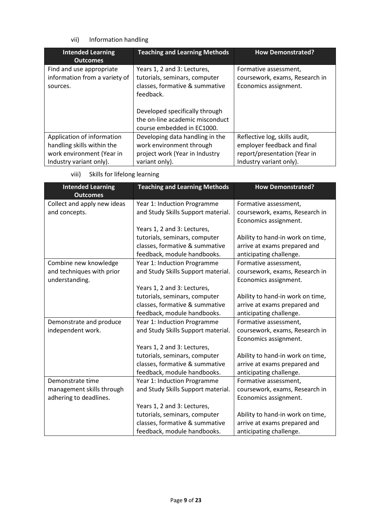## vii) Information handling

| <b>Intended Learning</b><br><b>Outcomes</b>                                           | <b>Teaching and Learning Methods</b>                                                                                                                                             | <b>How Demonstrated?</b>                                                                     |
|---------------------------------------------------------------------------------------|----------------------------------------------------------------------------------------------------------------------------------------------------------------------------------|----------------------------------------------------------------------------------------------|
| Find and use appropriate<br>information from a variety of<br>sources.                 | Years 1, 2 and 3: Lectures,<br>tutorials, seminars, computer<br>classes, formative & summative<br>feedback.<br>Developed specifically through<br>the on-line academic misconduct | Formative assessment,<br>coursework, exams, Research in<br>Economics assignment.             |
|                                                                                       | course embedded in EC1000.                                                                                                                                                       |                                                                                              |
| Application of information<br>handling skills within the<br>work environment (Year in | Developing data handling in the<br>work environment through<br>project work (Year in Industry                                                                                    | Reflective log, skills audit,<br>employer feedback and final<br>report/presentation (Year in |
| Industry variant only).                                                               | variant only).                                                                                                                                                                   | Industry variant only).                                                                      |

|  | viii) | Skills for lifelong learning |  |  |
|--|-------|------------------------------|--|--|
|--|-------|------------------------------|--|--|

| <b>Intended Learning</b><br><b>Outcomes</b> | <b>Teaching and Learning Methods</b> | <b>How Demonstrated?</b>         |
|---------------------------------------------|--------------------------------------|----------------------------------|
| Collect and apply new ideas                 | Year 1: Induction Programme          | Formative assessment,            |
| and concepts.                               | and Study Skills Support material.   | coursework, exams, Research in   |
|                                             |                                      | Economics assignment.            |
|                                             | Years 1, 2 and 3: Lectures,          |                                  |
|                                             | tutorials, seminars, computer        | Ability to hand-in work on time, |
|                                             | classes, formative & summative       | arrive at exams prepared and     |
|                                             | feedback, module handbooks.          | anticipating challenge.          |
| Combine new knowledge                       | Year 1: Induction Programme          | Formative assessment,            |
| and techniques with prior                   | and Study Skills Support material.   | coursework, exams, Research in   |
| understanding.                              |                                      | Economics assignment.            |
|                                             | Years 1, 2 and 3: Lectures,          |                                  |
|                                             | tutorials, seminars, computer        | Ability to hand-in work on time, |
|                                             | classes, formative & summative       | arrive at exams prepared and     |
|                                             | feedback, module handbooks.          | anticipating challenge.          |
| Demonstrate and produce                     | Year 1: Induction Programme          | Formative assessment,            |
| independent work.                           | and Study Skills Support material.   | coursework, exams, Research in   |
|                                             |                                      | Economics assignment.            |
|                                             | Years 1, 2 and 3: Lectures,          |                                  |
|                                             | tutorials, seminars, computer        | Ability to hand-in work on time, |
|                                             | classes, formative & summative       | arrive at exams prepared and     |
|                                             | feedback, module handbooks.          | anticipating challenge.          |
| Demonstrate time                            | Year 1: Induction Programme          | Formative assessment,            |
| management skills through                   | and Study Skills Support material.   | coursework, exams, Research in   |
| adhering to deadlines.                      |                                      | Economics assignment.            |
|                                             | Years 1, 2 and 3: Lectures,          |                                  |
|                                             | tutorials, seminars, computer        | Ability to hand-in work on time, |
|                                             | classes, formative & summative       | arrive at exams prepared and     |
|                                             | feedback, module handbooks.          | anticipating challenge.          |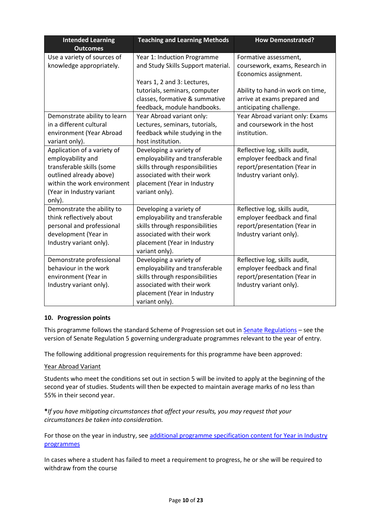| <b>Intended Learning</b><br><b>Outcomes</b>                                                                                                                                    | <b>Teaching and Learning Methods</b>                                                                                                                                        | <b>How Demonstrated?</b>                                                                                                |
|--------------------------------------------------------------------------------------------------------------------------------------------------------------------------------|-----------------------------------------------------------------------------------------------------------------------------------------------------------------------------|-------------------------------------------------------------------------------------------------------------------------|
| Use a variety of sources of<br>knowledge appropriately.                                                                                                                        | Year 1: Induction Programme<br>and Study Skills Support material.                                                                                                           | Formative assessment,<br>coursework, exams, Research in<br>Economics assignment.                                        |
|                                                                                                                                                                                | Years 1, 2 and 3: Lectures,<br>tutorials, seminars, computer<br>classes, formative & summative<br>feedback, module handbooks.                                               | Ability to hand-in work on time,<br>arrive at exams prepared and<br>anticipating challenge.                             |
| Demonstrate ability to learn<br>in a different cultural<br>environment (Year Abroad<br>variant only).                                                                          | Year Abroad variant only:<br>Lectures, seminars, tutorials,<br>feedback while studying in the<br>host institution.                                                          | Year Abroad variant only: Exams<br>and coursework in the host<br>institution.                                           |
| Application of a variety of<br>employability and<br>transferable skills (some<br>outlined already above)<br>within the work environment<br>(Year in Industry variant<br>only). | Developing a variety of<br>employability and transferable<br>skills through responsibilities<br>associated with their work<br>placement (Year in Industry<br>variant only). | Reflective log, skills audit,<br>employer feedback and final<br>report/presentation (Year in<br>Industry variant only). |
| Demonstrate the ability to<br>think reflectively about<br>personal and professional<br>development (Year in<br>Industry variant only).                                         | Developing a variety of<br>employability and transferable<br>skills through responsibilities<br>associated with their work<br>placement (Year in Industry<br>variant only). | Reflective log, skills audit,<br>employer feedback and final<br>report/presentation (Year in<br>Industry variant only). |
| Demonstrate professional<br>behaviour in the work<br>environment (Year in<br>Industry variant only).                                                                           | Developing a variety of<br>employability and transferable<br>skills through responsibilities<br>associated with their work<br>placement (Year in Industry<br>variant only). | Reflective log, skills audit,<br>employer feedback and final<br>report/presentation (Year in<br>Industry variant only). |

### **10. Progression points**

This programme follows the standard Scheme of Progression set out i[n Senate Regulations](http://www.le.ac.uk/senate-regulations) – see the version of Senate Regulation 5 governing undergraduate programmes relevant to the year of entry.

The following additional progression requirements for this programme have been approved:

### Year Abroad Variant

Students who meet the conditions set out in section 5 will be invited to apply at the beginning of the second year of studies. Students will then be expected to maintain average marks of no less than 55% in their second year.

## **\****If you have mitigating circumstances that affect your results, you may request that your circumstances be taken into consideration.*

For those on the year in industry, see additional programme specification content for Year in Industry [programmes](https://www2.le.ac.uk/offices/sas2/courses/documentation/undergraduate-programme-specification-content-for-year-in-industry-programme-variants)

In cases where a student has failed to meet a requirement to progress, he or she will be required to withdraw from the course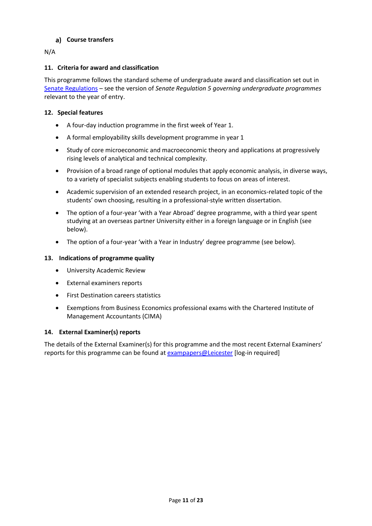## **Course transfers**

N/A

## **11. Criteria for award and classification**

This programme follows the standard scheme of undergraduate award and classification set out in [Senate Regulations](http://www.le.ac.uk/senate-regulations) – see the version of *Senate Regulation 5 governing undergraduate programmes* relevant to the year of entry.

## **12. Special features**

- A four-day induction programme in the first week of Year 1.
- A formal employability skills development programme in year 1
- Study of core microeconomic and macroeconomic theory and applications at progressively rising levels of analytical and technical complexity.
- Provision of a broad range of optional modules that apply economic analysis, in diverse ways, to a variety of specialist subjects enabling students to focus on areas of interest.
- Academic supervision of an extended research project, in an economics-related topic of the students' own choosing, resulting in a professional-style written dissertation.
- The option of a four-year 'with a Year Abroad' degree programme, with a third year spent studying at an overseas partner University either in a foreign language or in English (see below).
- The option of a four-year 'with a Year in Industry' degree programme (see below).

## **13. Indications of programme quality**

- University Academic Review
- External examiners reports
- First Destination careers statistics
- Exemptions from Business Economics professional exams with the Chartered Institute of Management Accountants (CIMA)

## **14. External Examiner(s) reports**

The details of the External Examiner(s) for this programme and the most recent External Examiners' reports for this programme can be found at **[exampapers@Leicester](https://exampapers.le.ac.uk/)** [log-in required]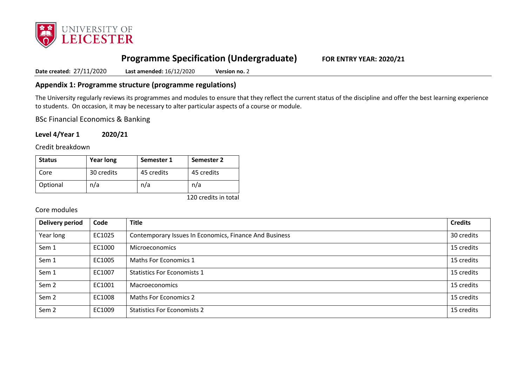

# **Programme Specification (Undergraduate) FOR ENTRY YEAR: 2020/21**

**Date created:** 27/11/2020 **Last amended:** 16/12/2020 **Version no.** 2

## **Appendix 1: Programme structure (programme regulations)**

The University regularly reviews its programmes and modules to ensure that they reflect the current status of the discipline and offer the best learning experience to students. On occasion, it may be necessary to alter particular aspects of a course or module.

BSc Financial Economics & Banking

**Level 4/Year 1 2020/21**

Credit breakdown

| <b>Status</b> | <b>Year long</b> | Semester 1 | <b>Semester 2</b> |
|---------------|------------------|------------|-------------------|
| Core          | 30 credits       | 45 credits | 45 credits        |
| Optional      | n/a              | n/a        | n/a               |

120 credits in total

## Core modules

| <b>Delivery period</b> | Code   | <b>Title</b>                                           | <b>Credits</b> |
|------------------------|--------|--------------------------------------------------------|----------------|
| Year long              | EC1025 | Contemporary Issues In Economics, Finance And Business | 30 credits     |
| Sem 1                  | EC1000 | <b>Microeconomics</b>                                  | 15 credits     |
| Sem 1                  | EC1005 | Maths For Economics 1                                  | 15 credits     |
| Sem 1                  | EC1007 | <b>Statistics For Economists 1</b>                     | 15 credits     |
| Sem <sub>2</sub>       | EC1001 | Macroeconomics                                         | 15 credits     |
| Sem <sub>2</sub>       | EC1008 | <b>Maths For Economics 2</b>                           | 15 credits     |
| Sem <sub>2</sub>       | EC1009 | <b>Statistics For Economists 2</b>                     | 15 credits     |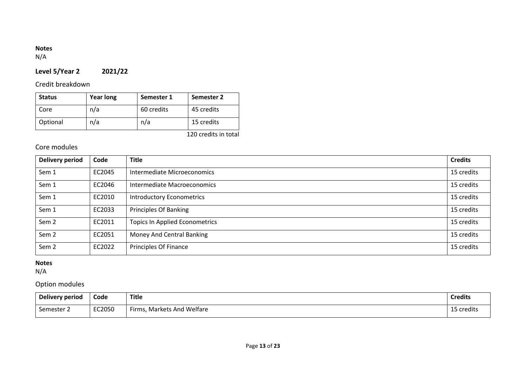# **Notes**

N/A

# **Level 5/Year 2 2021/22**

# Credit breakdown

| <b>Status</b> | <b>Year long</b> | Semester 1 | <b>Semester 2</b> |
|---------------|------------------|------------|-------------------|
| Core          | n/a              | 60 credits | 45 credits        |
| Optional      | n/a              | n/a        | 15 credits        |

120 credits in total

# Core modules

| <b>Delivery period</b> | Code   | <b>Title</b>                          | <b>Credits</b> |
|------------------------|--------|---------------------------------------|----------------|
| Sem 1                  | EC2045 | Intermediate Microeconomics           | 15 credits     |
| Sem 1                  | EC2046 | Intermediate Macroeconomics           | 15 credits     |
| Sem 1                  | EC2010 | <b>Introductory Econometrics</b>      | 15 credits     |
| Sem 1                  | EC2033 | <b>Principles Of Banking</b>          | 15 credits     |
| Sem <sub>2</sub>       | EC2011 | <b>Topics In Applied Econometrics</b> | 15 credits     |
| Sem <sub>2</sub>       | EC2051 | Money And Central Banking             | 15 credits     |
| Sem <sub>2</sub>       | EC2022 | Principles Of Finance                 | 15 credits     |

## **Notes**

N/A

# Option modules

| <b>Delivery period</b> | Code   | Title                      | <b>Credits</b> |
|------------------------|--------|----------------------------|----------------|
| Semester 2             | EC2050 | Firms, Markets And Welfare | 15 credits     |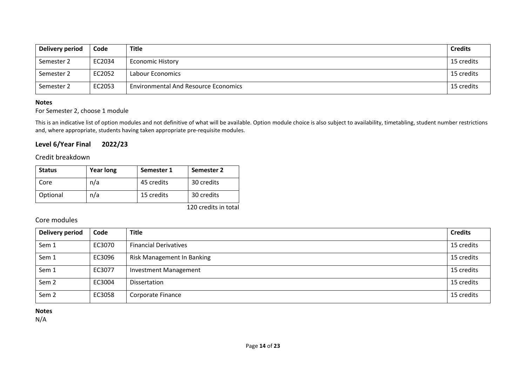| Delivery period | Code   | Title                                       | <b>Credits</b> |
|-----------------|--------|---------------------------------------------|----------------|
| Semester 2      | EC2034 | <b>Economic History</b>                     | 15 credits     |
| Semester 2      | EC2052 | Labour Economics                            | 15 credits     |
| Semester 2      | EC2053 | <b>Environmental And Resource Economics</b> | 15 credits     |

#### **Notes**

## For Semester 2, choose 1 module

This is an indicative list of option modules and not definitive of what will be available. Option module choice is also subject to availability, timetabling, student number restrictions and, where appropriate, students having taken appropriate pre-requisite modules.

# **Level 6/Year Final 2022/23**

## Credit breakdown

| <b>Status</b> | <b>Year long</b> | Semester 1 | Semester 2 |
|---------------|------------------|------------|------------|
| Core          | n/a              | 45 credits | 30 credits |
| Optional      | n/a              | 15 credits | 30 credits |

120 credits in total

## Core modules

| <b>Delivery period</b> | Code   | <b>Title</b>                 | <b>Credits</b> |
|------------------------|--------|------------------------------|----------------|
| Sem 1                  | EC3070 | <b>Financial Derivatives</b> | 15 credits     |
| Sem 1                  | EC3096 | Risk Management In Banking   | 15 credits     |
| Sem 1                  | EC3077 | <b>Investment Management</b> | 15 credits     |
| Sem <sub>2</sub>       | EC3004 | Dissertation                 | 15 credits     |
| Sem <sub>2</sub>       | EC3058 | Corporate Finance            | 15 credits     |

**Notes**

N/A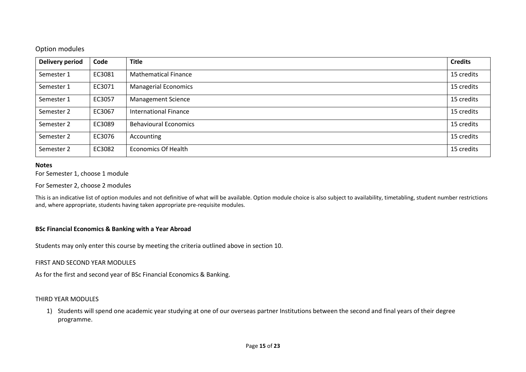## Option modules

| <b>Delivery period</b> | Code   | <b>Title</b>                 | <b>Credits</b> |
|------------------------|--------|------------------------------|----------------|
| Semester 1             | EC3081 | <b>Mathematical Finance</b>  | 15 credits     |
| Semester 1             | EC3071 | <b>Managerial Economics</b>  | 15 credits     |
| Semester 1             | EC3057 | <b>Management Science</b>    | 15 credits     |
| Semester 2             | EC3067 | International Finance        | 15 credits     |
| Semester 2             | EC3089 | <b>Behavioural Economics</b> | 15 credits     |
| Semester 2             | EC3076 | Accounting                   | 15 credits     |
| Semester 2             | EC3082 | <b>Economics Of Health</b>   | 15 credits     |

### **Notes**

For Semester 1, choose 1 module

For Semester 2, choose 2 modules

This is an indicative list of option modules and not definitive of what will be available. Option module choice is also subject to availability, timetabling, student number restrictions and, where appropriate, students having taken appropriate pre-requisite modules.

## **BSc Financial Economics & Banking with a Year Abroad**

Students may only enter this course by meeting the criteria outlined above in section 10.

### FIRST AND SECOND YEAR MODULES

As for the first and second year of BSc Financial Economics & Banking.

#### THIRD YEAR MODULES

1) Students will spend one academic year studying at one of our overseas partner Institutions between the second and final years of their degree programme.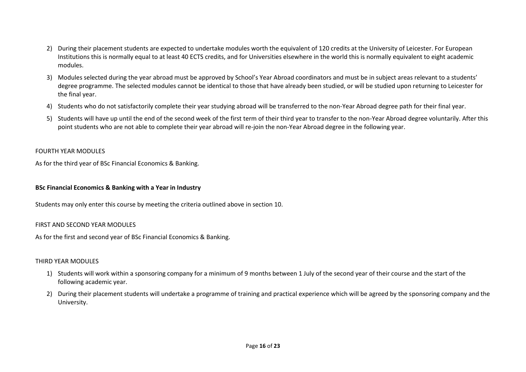- 2) During their placement students are expected to undertake modules worth the equivalent of 120 credits at the University of Leicester. For European Institutions this is normally equal to at least 40 ECTS credits, and for Universities elsewhere in the world this is normally equivalent to eight academic modules.
- 3) Modules selected during the year abroad must be approved by School's Year Abroad coordinators and must be in subject areas relevant to a students' degree programme. The selected modules cannot be identical to those that have already been studied, or will be studied upon returning to Leicester for the final year.
- 4) Students who do not satisfactorily complete their year studying abroad will be transferred to the non-Year Abroad degree path for their final year.
- 5) Students will have up until the end of the second week of the first term of their third year to transfer to the non-Year Abroad degree voluntarily. After this point students who are not able to complete their year abroad will re-join the non-Year Abroad degree in the following year.

## FOURTH YEAR MODULES

As for the third year of BSc Financial Economics & Banking.

## **BSc Financial Economics & Banking with a Year in Industry**

Students may only enter this course by meeting the criteria outlined above in section 10.

## FIRST AND SECOND YEAR MODULES

As for the first and second year of BSc Financial Economics & Banking.

## THIRD YEAR MODULES

- 1) Students will work within a sponsoring company for a minimum of 9 months between 1 July of the second year of their course and the start of the following academic year.
- 2) During their placement students will undertake a programme of training and practical experience which will be agreed by the sponsoring company and the University.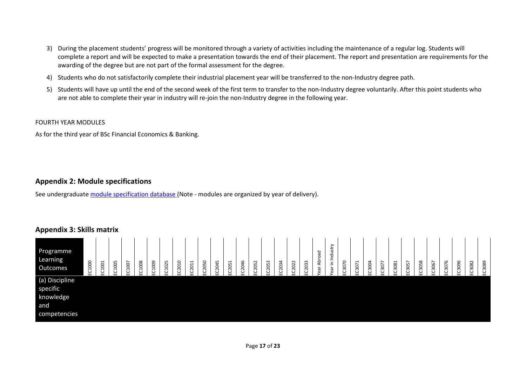- 3) During the placement students' progress will be monitored through a variety of activities including the maintenance of a regular log. Students will complete a report and will be expected to make a presentation towards the end of their placement. The report and presentation are requirements for the awarding of the degree but are not part of the formal assessment for the degree.
- 4) Students who do not satisfactorily complete their industrial placement year will be transferred to the non-Industry degree path.
- 5) Students will have up until the end of the second week of the first term to transfer to the non-Industry degree voluntarily. After this point students who are not able to complete their year in industry will re-join the non-Industry degree in the following year.

### FOURTH YEAR MODULES

As for the third year of BSc Financial Economics & Banking.

## **Appendix 2: Module specifications**

See undergraduat[e module specification database](http://www.le.ac.uk/sas/courses/documentation) (Note - modules are organized by year of delivery).

# **Appendix 3: Skills matrix**

| Programme<br>Learning<br>Outcomes                              | EC1000 | EC1001 | EC1005 | EC1007 | EC1008 | EC1009 | EC1025 | EC2010 | C2011<br>ш | EC2050 | 2045<br>ပ | 2051<br>ں<br>ш | EC2046 | EC2052 | EC2053 | EC2034 | EC2022 | EC2033 | Abroad<br>ear | ≻<br>ಕ<br>in Indu<br>ear | C3070<br><b>LLI</b> | $\overline{\phantom{0}}$<br>C307<br>ш | 3004<br>ن<br>ш | C2077<br>◡<br>ш | C3081<br>ш | EC3057 | EC3058 | C3067<br>ш | EC3076 | EC3096 | EC3082 | EC3089 |
|----------------------------------------------------------------|--------|--------|--------|--------|--------|--------|--------|--------|------------|--------|-----------|----------------|--------|--------|--------|--------|--------|--------|---------------|--------------------------|---------------------|---------------------------------------|----------------|-----------------|------------|--------|--------|------------|--------|--------|--------|--------|
| (a) Discipline<br>specific<br>knowledge<br>and<br>competencies |        |        |        |        |        |        |        |        |            |        |           |                |        |        |        |        |        |        |               |                          |                     |                                       |                |                 |            |        |        |            |        |        |        |        |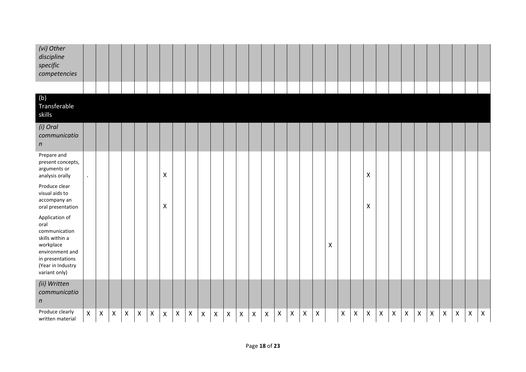| (vi) Other<br>discipline<br>specific<br>competencies                                                                                                 |                |   |                |                |                    |                |                |                    |                           |                |                |                           |                    |             |                           |                    |                |                           |                    |                    |   |                    |                           |                    |                    |                |                |                           |                    |                    |                |                |
|------------------------------------------------------------------------------------------------------------------------------------------------------|----------------|---|----------------|----------------|--------------------|----------------|----------------|--------------------|---------------------------|----------------|----------------|---------------------------|--------------------|-------------|---------------------------|--------------------|----------------|---------------------------|--------------------|--------------------|---|--------------------|---------------------------|--------------------|--------------------|----------------|----------------|---------------------------|--------------------|--------------------|----------------|----------------|
|                                                                                                                                                      |                |   |                |                |                    |                |                |                    |                           |                |                |                           |                    |             |                           |                    |                |                           |                    |                    |   |                    |                           |                    |                    |                |                |                           |                    |                    |                |                |
| (b)<br>Transferable<br>skills                                                                                                                        |                |   |                |                |                    |                |                |                    |                           |                |                |                           |                    |             |                           |                    |                |                           |                    |                    |   |                    |                           |                    |                    |                |                |                           |                    |                    |                |                |
| (i) Oral<br>communicatio<br>$\boldsymbol{n}$                                                                                                         |                |   |                |                |                    |                |                |                    |                           |                |                |                           |                    |             |                           |                    |                |                           |                    |                    |   |                    |                           |                    |                    |                |                |                           |                    |                    |                |                |
| Prepare and<br>present concepts,<br>arguments or<br>analysis orally                                                                                  | $\bullet$      |   |                |                |                    |                | X              |                    |                           |                |                |                           |                    |             |                           |                    |                |                           |                    |                    |   |                    | $\pmb{\mathsf{X}}$        |                    |                    |                |                |                           |                    |                    |                |                |
| Produce clear<br>visual aids to<br>accompany an<br>oral presentation                                                                                 |                |   |                |                |                    |                | X              |                    |                           |                |                |                           |                    |             |                           |                    |                |                           |                    |                    |   |                    | $\boldsymbol{\mathsf{X}}$ |                    |                    |                |                |                           |                    |                    |                |                |
| Application of<br>oral<br>communication<br>skills within a<br>workplace<br>environment and<br>in presentations<br>(Year in Industry<br>variant only) |                |   |                |                |                    |                |                |                    |                           |                |                |                           |                    |             |                           |                    |                |                           |                    | $\pmb{\mathsf{X}}$ |   |                    |                           |                    |                    |                |                |                           |                    |                    |                |                |
| (ii) Written<br>communicatio<br>$\boldsymbol{n}$                                                                                                     |                |   |                |                |                    |                |                |                    |                           |                |                |                           |                    |             |                           |                    |                |                           |                    |                    |   |                    |                           |                    |                    |                |                |                           |                    |                    |                |                |
| Produce clearly<br>written material                                                                                                                  | $\pmb{\times}$ | X | $\pmb{\times}$ | $\pmb{\times}$ | $\pmb{\mathsf{X}}$ | $\pmb{\times}$ | $\pmb{\times}$ | $\pmb{\mathsf{X}}$ | $\boldsymbol{\mathsf{X}}$ | $\pmb{\times}$ | $\pmb{\times}$ | $\boldsymbol{\mathsf{X}}$ | $\pmb{\mathsf{X}}$ | $\mathsf X$ | $\boldsymbol{\mathsf{X}}$ | $\pmb{\mathsf{X}}$ | $\pmb{\times}$ | $\boldsymbol{\mathsf{X}}$ | $\pmb{\mathsf{X}}$ |                    | X | $\pmb{\mathsf{X}}$ | X                         | $\pmb{\mathsf{X}}$ | $\pmb{\mathsf{X}}$ | $\pmb{\times}$ | $\pmb{\times}$ | $\boldsymbol{\mathsf{X}}$ | $\pmb{\mathsf{X}}$ | $\pmb{\mathsf{X}}$ | $\pmb{\times}$ | $\pmb{\times}$ |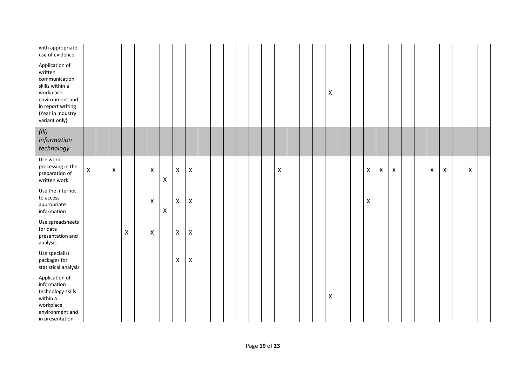| with appropriate<br>use of evidence                                                                                                                      |              |              |                    |                    |                    |                    |                |  |  |  |   |  |                |  |                           |   |                |  |   |   |   |  |
|----------------------------------------------------------------------------------------------------------------------------------------------------------|--------------|--------------|--------------------|--------------------|--------------------|--------------------|----------------|--|--|--|---|--|----------------|--|---------------------------|---|----------------|--|---|---|---|--|
| Application of<br>written<br>communication<br>skills within a<br>workplace<br>environment and<br>in report writing<br>(Year in Industry<br>variant only) |              |              |                    |                    |                    |                    |                |  |  |  |   |  | X              |  |                           |   |                |  |   |   |   |  |
| (iii)<br>Information<br>technology                                                                                                                       |              |              |                    |                    |                    |                    |                |  |  |  |   |  |                |  |                           |   |                |  |   |   |   |  |
| Use word<br>processing in the<br>preparation of<br>written work                                                                                          | $\mathsf{X}$ | $\mathsf{X}$ |                    | $\pmb{\mathsf{X}}$ | X                  | $\pmb{\mathsf{X}}$ | $\pmb{\times}$ |  |  |  | X |  |                |  | $\boldsymbol{\mathsf{X}}$ | X | $\pmb{\times}$ |  | X | Χ | X |  |
| Use the internet<br>to access<br>appropriate<br>information                                                                                              |              |              |                    | $\pmb{\times}$     | $\pmb{\mathsf{X}}$ | $\mathsf X$        | $\pmb{\times}$ |  |  |  |   |  |                |  | $\pmb{\mathsf{X}}$        |   |                |  |   |   |   |  |
| Use spreadsheets<br>for data<br>presentation and<br>analysis                                                                                             |              |              | $\pmb{\mathsf{X}}$ | $\pmb{\times}$     |                    | $\pmb{\mathsf{X}}$ | $\pmb{\times}$ |  |  |  |   |  |                |  |                           |   |                |  |   |   |   |  |
| Use specialist<br>packages for<br>statistical analysis                                                                                                   |              |              |                    |                    |                    | X                  | $\pmb{\times}$ |  |  |  |   |  |                |  |                           |   |                |  |   |   |   |  |
| Application of<br>information<br>technology skills<br>within a<br>workplace<br>environment and<br>in presentation                                        |              |              |                    |                    |                    |                    |                |  |  |  |   |  | $\pmb{\times}$ |  |                           |   |                |  |   |   |   |  |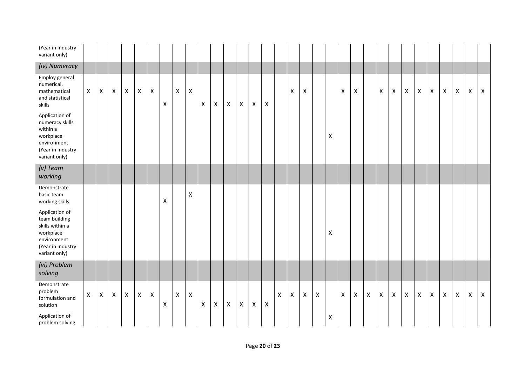| (Year in Industry<br>variant only)                                                                                   |              |                           |                |                |                           |                    |                    |                    |                    |             |             |                           |                           |                    |                    |              |                |                           |                |                    |   |              |              |                           |                |              |              |                    |                |                    |                |              |
|----------------------------------------------------------------------------------------------------------------------|--------------|---------------------------|----------------|----------------|---------------------------|--------------------|--------------------|--------------------|--------------------|-------------|-------------|---------------------------|---------------------------|--------------------|--------------------|--------------|----------------|---------------------------|----------------|--------------------|---|--------------|--------------|---------------------------|----------------|--------------|--------------|--------------------|----------------|--------------------|----------------|--------------|
| (iv) Numeracy                                                                                                        |              |                           |                |                |                           |                    |                    |                    |                    |             |             |                           |                           |                    |                    |              |                |                           |                |                    |   |              |              |                           |                |              |              |                    |                |                    |                |              |
| Employ general<br>numerical,<br>mathematical<br>and statistical<br>skills                                            | $\mathsf{X}$ | $\boldsymbol{\mathsf{X}}$ | $\pmb{\times}$ | $\pmb{\times}$ | $\boldsymbol{\mathsf{X}}$ | $\pmb{\mathsf{X}}$ | $\pmb{\mathsf{X}}$ | $\mathsf X$        | $\pmb{\mathsf{X}}$ | $\mathsf X$ | $\mathsf X$ | $\boldsymbol{\mathsf{X}}$ | $\boldsymbol{\mathsf{X}}$ | $\pmb{\mathsf{X}}$ | $\pmb{\times}$     |              | X              | $\boldsymbol{\mathsf{X}}$ |                |                    | Χ | X            |              | $\boldsymbol{\mathsf{X}}$ | $\pmb{\times}$ | $\mathsf X$  | $\mathsf X$  | $\pmb{\mathsf{X}}$ | $\pmb{\times}$ | $\pmb{\mathsf{X}}$ | $\pmb{\times}$ | $\mathsf{X}$ |
| Application of<br>numeracy skills<br>within a<br>workplace<br>environment<br>(Year in Industry<br>variant only)      |              |                           |                |                |                           |                    |                    |                    |                    |             |             |                           |                           |                    |                    |              |                |                           |                | $\pmb{\times}$     |   |              |              |                           |                |              |              |                    |                |                    |                |              |
| $(v)$ Team<br>working                                                                                                |              |                           |                |                |                           |                    |                    |                    |                    |             |             |                           |                           |                    |                    |              |                |                           |                |                    |   |              |              |                           |                |              |              |                    |                |                    |                |              |
| Demonstrate<br>basic team<br>working skills                                                                          |              |                           |                |                |                           |                    | X                  |                    | $\pmb{\mathsf{X}}$ |             |             |                           |                           |                    |                    |              |                |                           |                |                    |   |              |              |                           |                |              |              |                    |                |                    |                |              |
| Application of<br>team building<br>skills within a<br>workplace<br>environment<br>(Year in Industry<br>variant only) |              |                           |                |                |                           |                    |                    |                    |                    |             |             |                           |                           |                    |                    |              |                |                           |                | $\pmb{\mathsf{X}}$ |   |              |              |                           |                |              |              |                    |                |                    |                |              |
| (vi) Problem<br>solving                                                                                              |              |                           |                |                |                           |                    |                    |                    |                    |             |             |                           |                           |                    |                    |              |                |                           |                |                    |   |              |              |                           |                |              |              |                    |                |                    |                |              |
| Demonstrate<br>problem<br>formulation and<br>solution                                                                | X            | $\boldsymbol{\mathsf{X}}$ | $\mathsf{X}$   | $\mathsf{X}$   | $\pmb{\times}$            | $\pmb{\mathsf{X}}$ | $\pmb{\times}$     | $\pmb{\mathsf{X}}$ | $\pmb{\times}$     | X           | X           | $\boldsymbol{\mathsf{X}}$ | $\boldsymbol{\mathsf{X}}$ | $\mathsf X$        | $\pmb{\mathsf{X}}$ | $\mathsf{X}$ | $\pmb{\times}$ | $\mathsf{X}$              | $\pmb{\times}$ |                    | X | $\mathsf{X}$ | $\mathsf{X}$ | $\mathsf{X}$              | $\mathsf{X}$   | $\mathsf{X}$ | $\mathsf{X}$ | $\pmb{\mathsf{X}}$ | $\pmb{\times}$ | $\pmb{\mathsf{X}}$ | $\pmb{\times}$ | $\mathsf{X}$ |
| Application of<br>problem solving                                                                                    |              |                           |                |                |                           |                    |                    |                    |                    |             |             |                           |                           |                    |                    |              |                |                           |                | X                  |   |              |              |                           |                |              |              |                    |                |                    |                |              |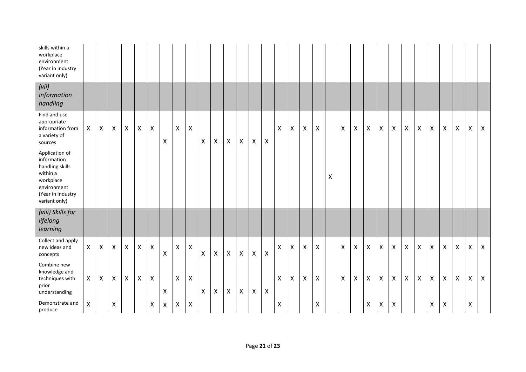| skills within a<br>workplace<br>environment<br>(Year in Industry<br>variant only)                                              |              |                           |                           |                    |                |                    |                    |                    |                    |                           |              |                    |                           |                    |                |              |                           |                           |                    |   |   |                           |                           |                    |                    |                           |              |                    |                           |                    |                    |              |
|--------------------------------------------------------------------------------------------------------------------------------|--------------|---------------------------|---------------------------|--------------------|----------------|--------------------|--------------------|--------------------|--------------------|---------------------------|--------------|--------------------|---------------------------|--------------------|----------------|--------------|---------------------------|---------------------------|--------------------|---|---|---------------------------|---------------------------|--------------------|--------------------|---------------------------|--------------|--------------------|---------------------------|--------------------|--------------------|--------------|
| (vii)<br>Information<br>handling                                                                                               |              |                           |                           |                    |                |                    |                    |                    |                    |                           |              |                    |                           |                    |                |              |                           |                           |                    |   |   |                           |                           |                    |                    |                           |              |                    |                           |                    |                    |              |
| Find and use<br>appropriate<br>information from<br>a variety of<br>sources                                                     | $\mathsf{X}$ | $\boldsymbol{\mathsf{X}}$ | $\boldsymbol{\mathsf{X}}$ | $\mathsf{X}$       | $\pmb{\times}$ | $\pmb{\mathsf{X}}$ | $\pmb{\mathsf{X}}$ | $\pmb{\mathsf{X}}$ | $\pmb{\mathsf{X}}$ | $\pmb{\mathsf{X}}$        | X            | $\pmb{\mathsf{X}}$ | $\pmb{\times}$            | $\pmb{\mathsf{X}}$ | $\pmb{\times}$ | X            | $\pmb{\times}$            | $\pmb{\times}$            | $\pmb{\times}$     |   | X | $\boldsymbol{\mathsf{X}}$ | X                         | $\pmb{\mathsf{X}}$ | $\mathsf{X}$       | $\boldsymbol{\mathsf{X}}$ | $\mathsf{X}$ | X                  | $\pmb{\times}$            | $\pmb{\mathsf{X}}$ | $\pmb{\mathsf{X}}$ | X            |
| Application of<br>information<br>handling skills<br>within a<br>workplace<br>environment<br>(Year in Industry<br>variant only) |              |                           |                           |                    |                |                    |                    |                    |                    |                           |              |                    |                           |                    |                |              |                           |                           |                    | X |   |                           |                           |                    |                    |                           |              |                    |                           |                    |                    |              |
| (viii) Skills for<br>lifelong<br>learning                                                                                      |              |                           |                           |                    |                |                    |                    |                    |                    |                           |              |                    |                           |                    |                |              |                           |                           |                    |   |   |                           |                           |                    |                    |                           |              |                    |                           |                    |                    |              |
| Collect and apply<br>new ideas and<br>concepts                                                                                 | $\mathsf{X}$ | X                         | X                         | $\mathsf{X}$       | $\mathsf{X}$   | $\pmb{\mathsf{X}}$ | $\pmb{\mathsf{X}}$ | Χ                  | $\pmb{\mathsf{X}}$ | $\mathsf{X}$              | $\mathsf{X}$ | $\mathsf{X}$       | $\mathsf{X}$              | $\mathsf{X}$       | $\pmb{\times}$ | $\mathsf{X}$ | $\boldsymbol{\mathsf{X}}$ | $\boldsymbol{\mathsf{X}}$ | $\pmb{\times}$     |   | X | X                         | X                         | X                  | $\mathsf{X}$       | $\boldsymbol{X}$          | X            | X                  | $\mathsf{X}$              | $\pmb{\mathsf{X}}$ | Χ                  | $\mathsf{X}$ |
| Combine new<br>knowledge and<br>techniques with<br>prior<br>understanding                                                      | X            | X                         | $\boldsymbol{\mathsf{X}}$ | $\pmb{\mathsf{X}}$ | $\pmb{\times}$ | $\pmb{\times}$     | X                  | $\pmb{\times}$     | $\pmb{\mathsf{X}}$ | $\boldsymbol{\mathsf{X}}$ | X            | $\pmb{\times}$     | $\boldsymbol{\mathsf{X}}$ | $\pmb{\mathsf{X}}$ | $\pmb{\times}$ | X            | $\mathsf{X}$              | $\boldsymbol{\mathsf{X}}$ | $\pmb{\times}$     |   | X | $\boldsymbol{\mathsf{X}}$ | $\boldsymbol{\mathsf{X}}$ | X                  | $\mathsf{X}$       | $\boldsymbol{X}$          | $\mathsf{X}$ | $\pmb{\mathsf{X}}$ | $\boldsymbol{\mathsf{X}}$ | $\pmb{\mathsf{X}}$ | $\pmb{\times}$     | X            |
| Demonstrate and<br>produce                                                                                                     | Χ            |                           | $\pmb{\mathsf{X}}$        |                    |                | $\pmb{\times}$     | $\pmb{\times}$     | Χ                  | $\mathsf X$        |                           |              |                    |                           |                    |                | Χ            |                           |                           | $\pmb{\mathsf{X}}$ |   |   |                           | $\boldsymbol{\mathsf{X}}$ | $\pmb{\mathsf{X}}$ | $\pmb{\mathsf{X}}$ |                           |              | Χ                  | $\pmb{\mathsf{X}}$        |                    | Χ                  |              |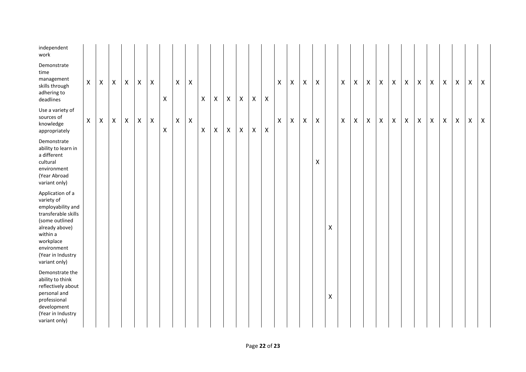| independent<br>work                                                                                                                                                                          |              |              |              |                |                |                |                |                |                           |   |   |                           |                    |              |                |                |                    |                    |                |   |                           |                           |                           |              |                |                |                |                           |                    |                           |   |              |
|----------------------------------------------------------------------------------------------------------------------------------------------------------------------------------------------|--------------|--------------|--------------|----------------|----------------|----------------|----------------|----------------|---------------------------|---|---|---------------------------|--------------------|--------------|----------------|----------------|--------------------|--------------------|----------------|---|---------------------------|---------------------------|---------------------------|--------------|----------------|----------------|----------------|---------------------------|--------------------|---------------------------|---|--------------|
| Demonstrate<br>time<br>management<br>skills through<br>adhering to<br>deadlines                                                                                                              | $\mathsf{X}$ | X            | $\mathsf{X}$ | $\mathsf{X}$   | X              | $\mathsf{X}$   | X              | $\mathsf{X}$   | $\boldsymbol{\mathsf{X}}$ | X | X | X                         | $\mathsf{X}$       | $\mathsf{X}$ | X              | X              | $\mathsf{X}$       | $\pmb{\times}$     | $\mathsf{X}$   |   | $\boldsymbol{\mathsf{X}}$ | $\boldsymbol{\mathsf{X}}$ | $\boldsymbol{\mathsf{X}}$ | $\mathsf{X}$ | $\mathsf{X}$   | $\mathsf{X}$   | $\mathsf{X}$   | $\boldsymbol{\mathsf{X}}$ | $\pmb{\times}$     | $\boldsymbol{\mathsf{X}}$ | X | $\mathsf{X}$ |
| Use a variety of<br>sources of<br>knowledge<br>appropriately                                                                                                                                 | $\mathsf{X}$ | $\mathsf{X}$ | $\mathsf{X}$ | $\pmb{\times}$ | $\pmb{\times}$ | $\pmb{\times}$ | $\pmb{\times}$ | $\pmb{\times}$ | $\pmb{\times}$            | X | X | $\boldsymbol{\mathsf{X}}$ | $\pmb{\mathsf{X}}$ | $\mathsf{X}$ | $\pmb{\times}$ | $\pmb{\times}$ | $\pmb{\mathsf{X}}$ | $\pmb{\mathsf{X}}$ | $\pmb{\times}$ |   | $\pmb{\times}$            | $\pmb{\times}$            | X                         | $\mathsf{X}$ | $\pmb{\times}$ | $\pmb{\times}$ | $\pmb{\times}$ | $\mathsf X$               | $\pmb{\mathsf{X}}$ | $\mathsf X$               | X | $\mathsf{X}$ |
| Demonstrate<br>ability to learn in<br>a different<br>cultural<br>environment<br>(Year Abroad<br>variant only)                                                                                |              |              |              |                |                |                |                |                |                           |   |   |                           |                    |              |                |                |                    |                    | X              |   |                           |                           |                           |              |                |                |                |                           |                    |                           |   |              |
| Application of a<br>variety of<br>employability and<br>transferable skills<br>(some outlined<br>already above)<br>within a<br>workplace<br>environment<br>(Year in Industry<br>variant only) |              |              |              |                |                |                |                |                |                           |   |   |                           |                    |              |                |                |                    |                    |                | X |                           |                           |                           |              |                |                |                |                           |                    |                           |   |              |
| Demonstrate the<br>ability to think<br>reflectively about<br>personal and<br>professional<br>development<br>(Year in Industry<br>variant only)                                               |              |              |              |                |                |                |                |                |                           |   |   |                           |                    |              |                |                |                    |                    |                | Χ |                           |                           |                           |              |                |                |                |                           |                    |                           |   |              |